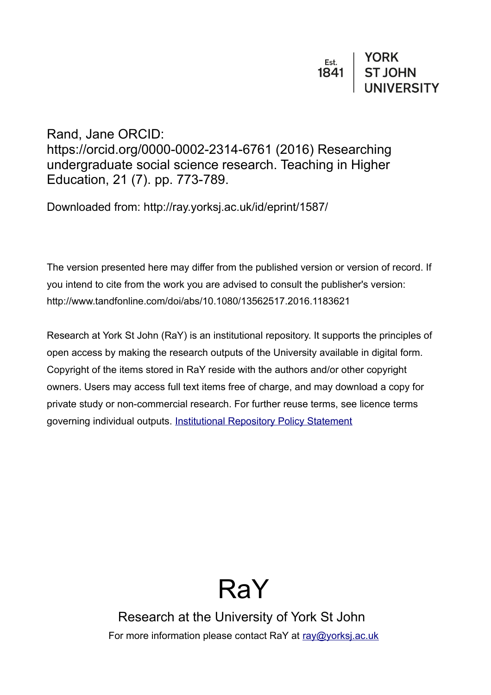# Rand, Jane ORCID: https://orcid.org/0000-0002-2314-6761 (2016) Researching undergraduate social science research. Teaching in Higher Education, 21 (7). pp. 773-789.

Downloaded from: http://ray.yorksj.ac.uk/id/eprint/1587/

The version presented here may differ from the published version or version of record. If you intend to cite from the work you are advised to consult the publisher's version: http://www.tandfonline.com/doi/abs/10.1080/13562517.2016.1183621

Research at York St John (RaY) is an institutional repository. It supports the principles of open access by making the research outputs of the University available in digital form. Copyright of the items stored in RaY reside with the authors and/or other copyright owners. Users may access full text items free of charge, and may download a copy for private study or non-commercial research. For further reuse terms, see licence terms governing individual outputs. [Institutional Repository Policy Statement](https://www.yorksj.ac.uk/ils/repository-policies/)

# RaY

Research at the University of York St John For more information please contact RaY at [ray@yorksj.ac.uk](mailto:ray@yorksj.ac.uk)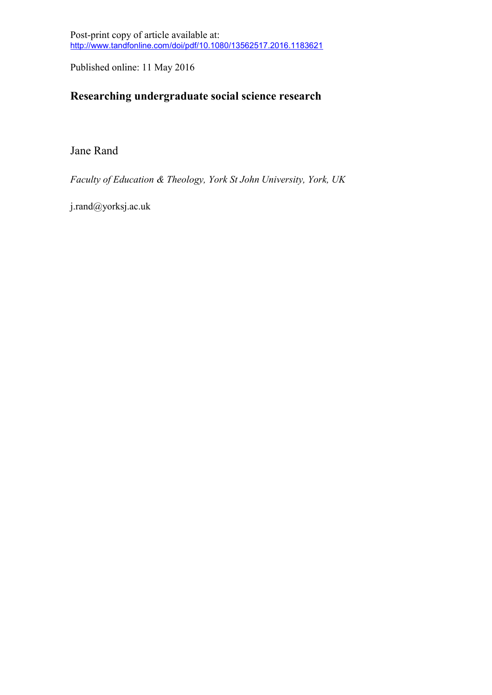Post-print copy of article available at: http://www.tandfonline.com/doi/pdf/10.1080/13562517.2016.1183621

Published online: 11 May 2016

# **Researching undergraduate social science research**

Jane Rand

*Faculty of Education & Theology, York St John University, York, UK*

j.rand@yorksj.ac.uk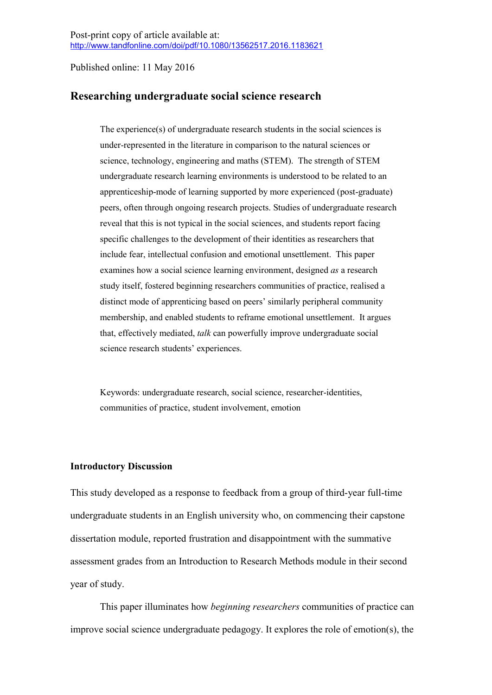# **Researching undergraduate social science research**

The experience(s) of undergraduate research students in the social sciences is under-represented in the literature in comparison to the natural sciences or science, technology, engineering and maths (STEM). The strength of STEM undergraduate research learning environments is understood to be related to an apprenticeship-mode of learning supported by more experienced (post-graduate) peers, often through ongoing research projects. Studies of undergraduate research reveal that this is not typical in the social sciences, and students report facing specific challenges to the development of their identities as researchers that include fear, intellectual confusion and emotional unsettlement. This paper examines how a social science learning environment, designed *as* a research study itself, fostered beginning researchers communities of practice, realised a distinct mode of apprenticing based on peers' similarly peripheral community membership, and enabled students to reframe emotional unsettlement. It argues that, effectively mediated, *talk* can powerfully improve undergraduate social science research students' experiences.

Keywords: undergraduate research, social science, researcher-identities, communities of practice, student involvement, emotion

#### **Introductory Discussion**

This study developed as a response to feedback from a group of third-year full-time undergraduate students in an English university who, on commencing their capstone dissertation module, reported frustration and disappointment with the summative assessment grades from an Introduction to Research Methods module in their second year of study.

This paper illuminates how *beginning researchers* communities of practice can improve social science undergraduate pedagogy. It explores the role of emotion(s), the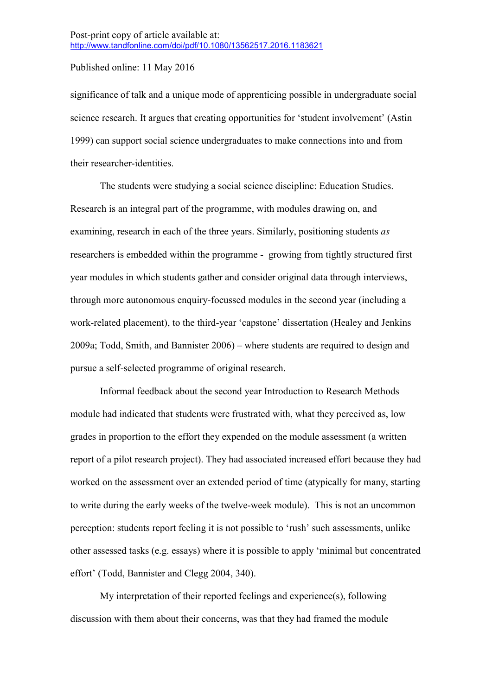significance of talk and a unique mode of apprenticing possible in undergraduate social science research. It argues that creating opportunities for 'student involvement' (Astin 1999) can support social science undergraduates to make connections into and from their researcher-identities.

The students were studying a social science discipline: Education Studies. Research is an integral part of the programme, with modules drawing on, and examining, research in each of the three years. Similarly, positioning students *as* researchers is embedded within the programme - growing from tightly structured first year modules in which students gather and consider original data through interviews, through more autonomous enquiry-focussed modules in the second year (including a work-related placement), to the third-year 'capstone' dissertation (Healey and Jenkins 2009a; Todd, Smith, and Bannister 2006) – where students are required to design and pursue a self-selected programme of original research.

Informal feedback about the second year Introduction to Research Methods module had indicated that students were frustrated with, what they perceived as, low grades in proportion to the effort they expended on the module assessment (a written report of a pilot research project). They had associated increased effort because they had worked on the assessment over an extended period of time (atypically for many, starting to write during the early weeks of the twelve-week module). This is not an uncommon perception: students report feeling it is not possible to 'rush' such assessments, unlike other assessed tasks (e.g. essays) where it is possible to apply 'minimal but concentrated effort' (Todd, Bannister and Clegg 2004, 340).

My interpretation of their reported feelings and experience(s), following discussion with them about their concerns, was that they had framed the module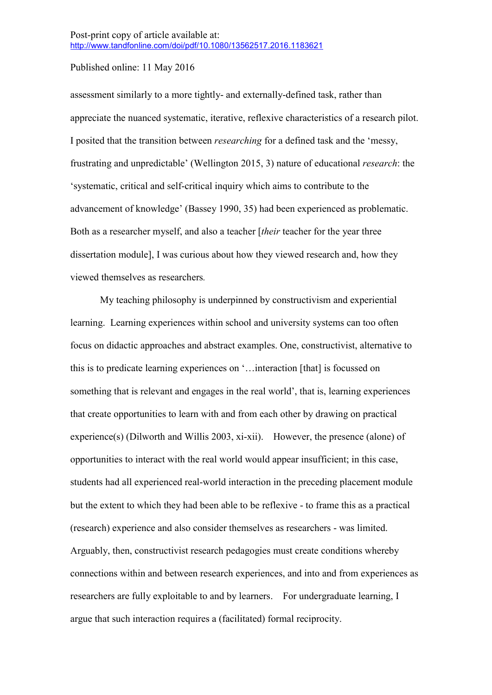assessment similarly to a more tightly- and externally-defined task, rather than appreciate the nuanced systematic, iterative, reflexive characteristics of a research pilot. I posited that the transition between *researching* for a defined task and the 'messy, frustrating and unpredictable' (Wellington 2015, 3) nature of educational *research*: the 'systematic, critical and self-critical inquiry which aims to contribute to the advancement of knowledge' (Bassey 1990, 35) had been experienced as problematic. Both as a researcher myself, and also a teacher [*their* teacher for the year three dissertation module], I was curious about how they viewed research and, how they viewed themselves as researchers*.*

My teaching philosophy is underpinned by constructivism and experiential learning. Learning experiences within school and university systems can too often focus on didactic approaches and abstract examples. One, constructivist, alternative to this is to predicate learning experiences on '…interaction [that] is focussed on something that is relevant and engages in the real world', that is, learning experiences that create opportunities to learn with and from each other by drawing on practical experience(s) (Dilworth and Willis 2003, xi-xii). However, the presence (alone) of opportunities to interact with the real world would appear insufficient; in this case, students had all experienced real-world interaction in the preceding placement module but the extent to which they had been able to be reflexive - to frame this as a practical (research) experience and also consider themselves as researchers - was limited. Arguably, then, constructivist research pedagogies must create conditions whereby connections within and between research experiences, and into and from experiences as researchers are fully exploitable to and by learners. For undergraduate learning, I argue that such interaction requires a (facilitated) formal reciprocity.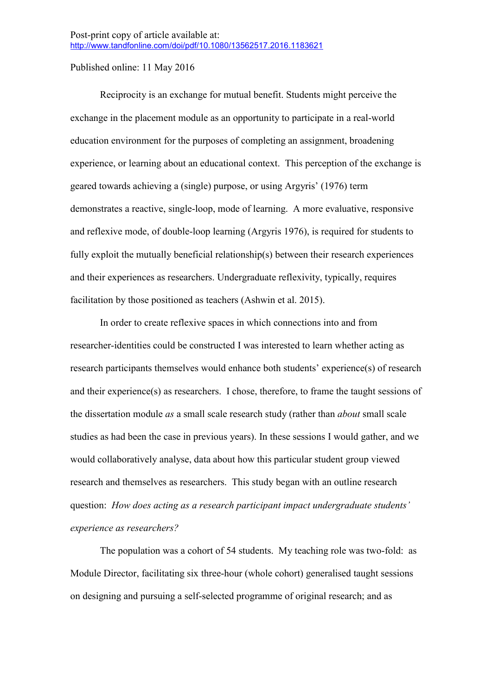Reciprocity is an exchange for mutual benefit. Students might perceive the exchange in the placement module as an opportunity to participate in a real-world education environment for the purposes of completing an assignment, broadening experience, or learning about an educational context. This perception of the exchange is geared towards achieving a (single) purpose, or using Argyris' (1976) term demonstrates a reactive, single-loop, mode of learning. A more evaluative, responsive and reflexive mode, of double-loop learning (Argyris 1976), is required for students to fully exploit the mutually beneficial relationship(s) between their research experiences and their experiences as researchers. Undergraduate reflexivity, typically, requires facilitation by those positioned as teachers (Ashwin et al. 2015).

In order to create reflexive spaces in which connections into and from researcher-identities could be constructed I was interested to learn whether acting as research participants themselves would enhance both students' experience(s) of research and their experience(s) as researchers. I chose, therefore, to frame the taught sessions of the dissertation module *as* a small scale research study (rather than *about* small scale studies as had been the case in previous years). In these sessions I would gather, and we would collaboratively analyse, data about how this particular student group viewed research and themselves as researchers. This study began with an outline research question: *How does acting as a research participant impact undergraduate students' experience as researchers?*

The population was a cohort of 54 students. My teaching role was two-fold: as Module Director, facilitating six three-hour (whole cohort) generalised taught sessions on designing and pursuing a self-selected programme of original research; and as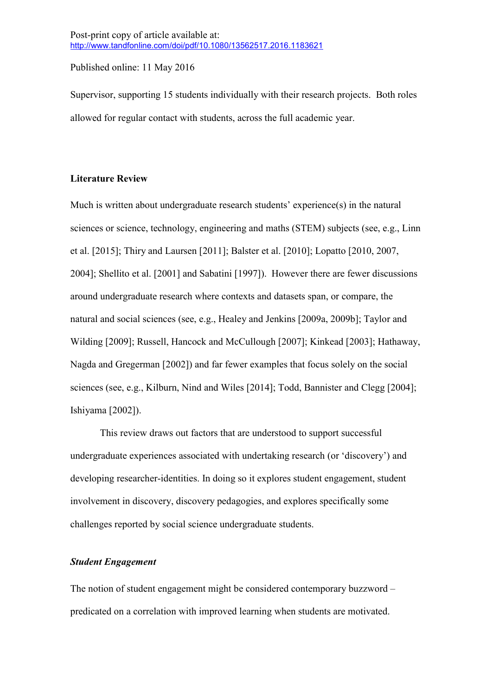Supervisor, supporting 15 students individually with their research projects. Both roles allowed for regular contact with students, across the full academic year.

#### **Literature Review**

Much is written about undergraduate research students' experience(s) in the natural sciences or science, technology, engineering and maths (STEM) subjects (see, e.g., Linn et al. [2015]; Thiry and Laursen [2011]; Balster et al. [2010]; Lopatto [2010, 2007, 2004]; Shellito et al. [2001] and Sabatini [1997]). However there are fewer discussions around undergraduate research where contexts and datasets span, or compare, the natural and social sciences (see, e.g., Healey and Jenkins [2009a, 2009b]; Taylor and Wilding [2009]; Russell, Hancock and McCullough [2007]; Kinkead [2003]; Hathaway, Nagda and Gregerman [2002]) and far fewer examples that focus solely on the social sciences (see, e.g., Kilburn, Nind and Wiles [2014]; Todd, Bannister and Clegg [2004]; Ishiyama [2002]).

This review draws out factors that are understood to support successful undergraduate experiences associated with undertaking research (or 'discovery') and developing researcher-identities. In doing so it explores student engagement, student involvement in discovery, discovery pedagogies, and explores specifically some challenges reported by social science undergraduate students.

#### *Student Engagement*

The notion of student engagement might be considered contemporary buzzword – predicated on a correlation with improved learning when students are motivated.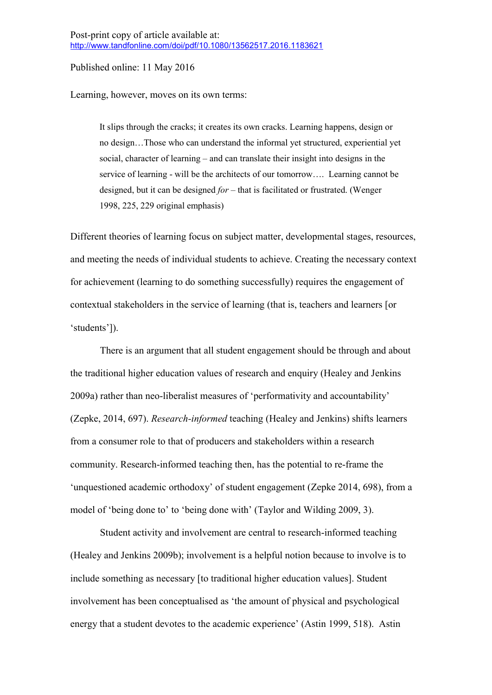Learning, however, moves on its own terms:

It slips through the cracks; it creates its own cracks. Learning happens, design or no design…Those who can understand the informal yet structured, experiential yet social, character of learning – and can translate their insight into designs in the service of learning - will be the architects of our tomorrow…. Learning cannot be designed, but it can be designed *for* – that is facilitated or frustrated. (Wenger 1998, 225, 229 original emphasis)

Different theories of learning focus on subject matter, developmental stages, resources, and meeting the needs of individual students to achieve. Creating the necessary context for achievement (learning to do something successfully) requires the engagement of contextual stakeholders in the service of learning (that is, teachers and learners [or 'students']).

There is an argument that all student engagement should be through and about the traditional higher education values of research and enquiry (Healey and Jenkins 2009a) rather than neo-liberalist measures of 'performativity and accountability' (Zepke, 2014, 697). *Research-informed* teaching (Healey and Jenkins) shifts learners from a consumer role to that of producers and stakeholders within a research community. Research-informed teaching then, has the potential to re-frame the 'unquestioned academic orthodoxy' of student engagement (Zepke 2014, 698), from a model of 'being done to' to 'being done with' (Taylor and Wilding 2009, 3).

Student activity and involvement are central to research-informed teaching (Healey and Jenkins 2009b); involvement is a helpful notion because to involve is to include something as necessary [to traditional higher education values]. Student involvement has been conceptualised as 'the amount of physical and psychological energy that a student devotes to the academic experience' (Astin 1999, 518). Astin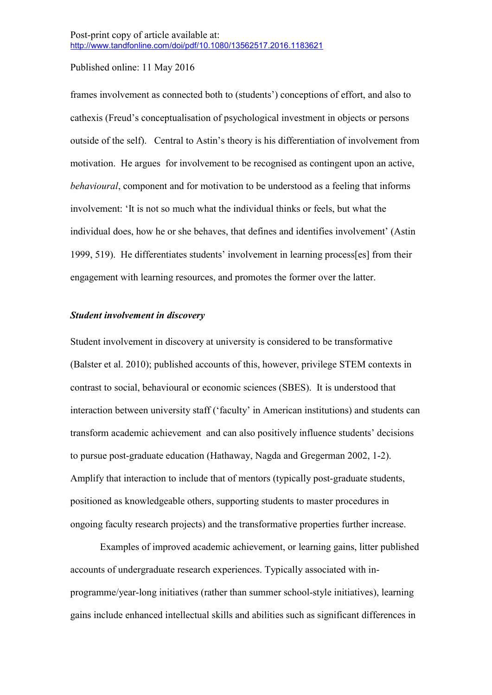frames involvement as connected both to (students') conceptions of effort, and also to cathexis (Freud's conceptualisation of psychological investment in objects or persons outside of the self). Central to Astin's theory is his differentiation of involvement from motivation. He argues for involvement to be recognised as contingent upon an active, *behavioural*, component and for motivation to be understood as a feeling that informs involvement: 'It is not so much what the individual thinks or feels, but what the individual does, how he or she behaves, that defines and identifies involvement' (Astin 1999, 519). He differentiates students' involvement in learning process[es] from their engagement with learning resources, and promotes the former over the latter.

#### *Student involvement in discovery*

Student involvement in discovery at university is considered to be transformative (Balster et al. 2010); published accounts of this, however, privilege STEM contexts in contrast to social, behavioural or economic sciences (SBES). It is understood that interaction between university staff ('faculty' in American institutions) and students can transform academic achievement and can also positively influence students' decisions to pursue post-graduate education (Hathaway, Nagda and Gregerman 2002, 1-2). Amplify that interaction to include that of mentors (typically post-graduate students, positioned as knowledgeable others, supporting students to master procedures in ongoing faculty research projects) and the transformative properties further increase.

Examples of improved academic achievement, or learning gains, litter published accounts of undergraduate research experiences. Typically associated with inprogramme/year-long initiatives (rather than summer school-style initiatives), learning gains include enhanced intellectual skills and abilities such as significant differences in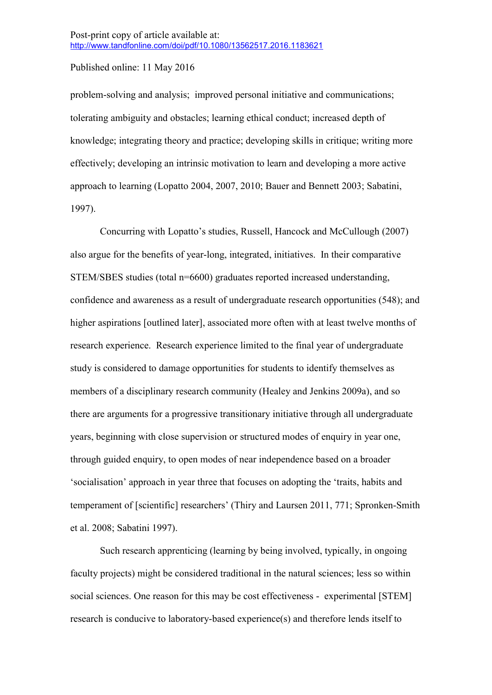problem-solving and analysis; improved personal initiative and communications; tolerating ambiguity and obstacles; learning ethical conduct; increased depth of knowledge; integrating theory and practice; developing skills in critique; writing more effectively; developing an intrinsic motivation to learn and developing a more active approach to learning (Lopatto 2004, 2007, 2010; Bauer and Bennett 2003; Sabatini, 1997).

Concurring with Lopatto's studies, Russell, Hancock and McCullough (2007) also argue for the benefits of year-long, integrated, initiatives. In their comparative STEM/SBES studies (total n=6600) graduates reported increased understanding, confidence and awareness as a result of undergraduate research opportunities (548); and higher aspirations [outlined later], associated more often with at least twelve months of research experience. Research experience limited to the final year of undergraduate study is considered to damage opportunities for students to identify themselves as members of a disciplinary research community (Healey and Jenkins 2009a), and so there are arguments for a progressive transitionary initiative through all undergraduate years, beginning with close supervision or structured modes of enquiry in year one, through guided enquiry, to open modes of near independence based on a broader 'socialisation' approach in year three that focuses on adopting the 'traits, habits and temperament of [scientific] researchers' (Thiry and Laursen 2011, 771; Spronken-Smith et al. 2008; Sabatini 1997).

Such research apprenticing (learning by being involved, typically, in ongoing faculty projects) might be considered traditional in the natural sciences; less so within social sciences. One reason for this may be cost effectiveness - experimental [STEM] research is conducive to laboratory-based experience(s) and therefore lends itself to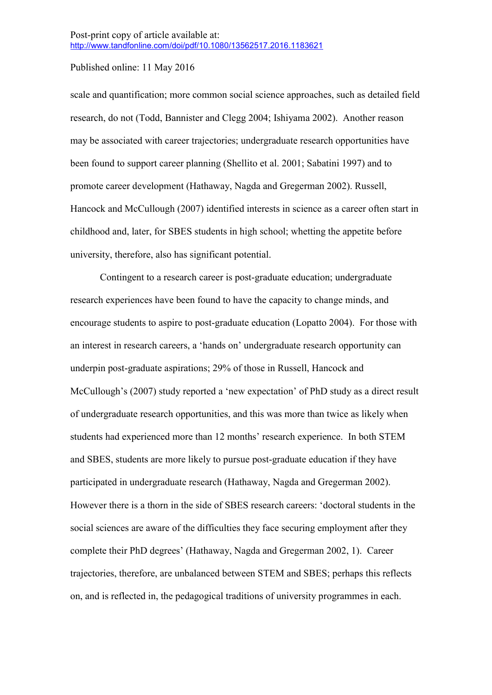scale and quantification; more common social science approaches, such as detailed field research, do not (Todd, Bannister and Clegg 2004; Ishiyama 2002). Another reason may be associated with career trajectories; undergraduate research opportunities have been found to support career planning (Shellito et al. 2001; Sabatini 1997) and to promote career development (Hathaway, Nagda and Gregerman 2002). Russell, Hancock and McCullough (2007) identified interests in science as a career often start in childhood and, later, for SBES students in high school; whetting the appetite before university, therefore, also has significant potential.

Contingent to a research career is post-graduate education; undergraduate research experiences have been found to have the capacity to change minds, and encourage students to aspire to post-graduate education (Lopatto 2004). For those with an interest in research careers, a 'hands on' undergraduate research opportunity can underpin post-graduate aspirations; 29% of those in Russell, Hancock and McCullough's (2007) study reported a 'new expectation' of PhD study as a direct result of undergraduate research opportunities, and this was more than twice as likely when students had experienced more than 12 months' research experience. In both STEM and SBES, students are more likely to pursue post-graduate education if they have participated in undergraduate research (Hathaway, Nagda and Gregerman 2002). However there is a thorn in the side of SBES research careers: 'doctoral students in the social sciences are aware of the difficulties they face securing employment after they complete their PhD degrees' (Hathaway, Nagda and Gregerman 2002, 1). Career trajectories, therefore, are unbalanced between STEM and SBES; perhaps this reflects on, and is reflected in, the pedagogical traditions of university programmes in each.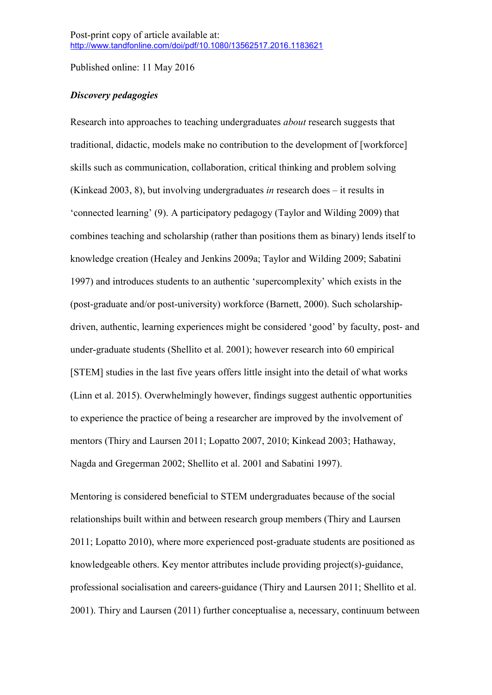# *Discovery pedagogies*

Research into approaches to teaching undergraduates *about* research suggests that traditional, didactic, models make no contribution to the development of [workforce] skills such as communication, collaboration, critical thinking and problem solving (Kinkead 2003, 8), but involving undergraduates *in* research does – it results in 'connected learning' (9). A participatory pedagogy (Taylor and Wilding 2009) that combines teaching and scholarship (rather than positions them as binary) lends itself to knowledge creation (Healey and Jenkins 2009a; Taylor and Wilding 2009; Sabatini 1997) and introduces students to an authentic 'supercomplexity' which exists in the (post-graduate and/or post-university) workforce (Barnett, 2000). Such scholarshipdriven, authentic, learning experiences might be considered 'good' by faculty, post- and under-graduate students (Shellito et al. 2001); however research into 60 empirical [STEM] studies in the last five years offers little insight into the detail of what works (Linn et al. 2015). Overwhelmingly however, findings suggest authentic opportunities to experience the practice of being a researcher are improved by the involvement of mentors (Thiry and Laursen 2011; Lopatto 2007, 2010; Kinkead 2003; Hathaway, Nagda and Gregerman 2002; Shellito et al. 2001 and Sabatini 1997).

Mentoring is considered beneficial to STEM undergraduates because of the social relationships built within and between research group members (Thiry and Laursen 2011; Lopatto 2010), where more experienced post-graduate students are positioned as knowledgeable others. Key mentor attributes include providing project(s)-guidance, professional socialisation and careers-guidance (Thiry and Laursen 2011; Shellito et al. 2001). Thiry and Laursen (2011) further conceptualise a, necessary, continuum between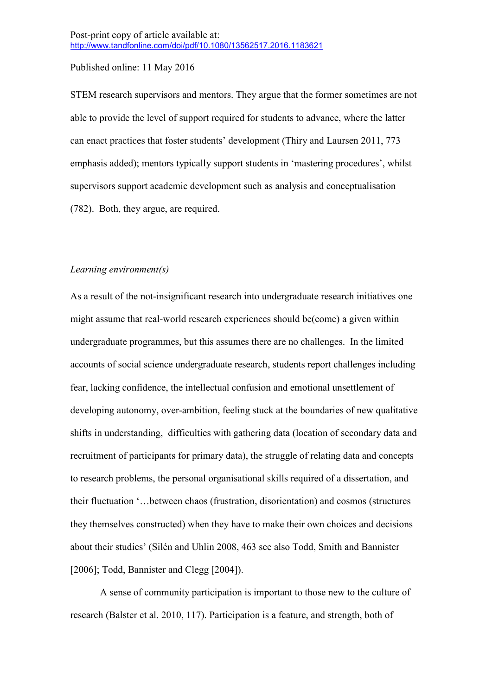STEM research supervisors and mentors. They argue that the former sometimes are not able to provide the level of support required for students to advance, where the latter can enact practices that foster students' development (Thiry and Laursen 2011, 773 emphasis added); mentors typically support students in 'mastering procedures', whilst supervisors support academic development such as analysis and conceptualisation (782). Both, they argue, are required.

#### *Learning environment(s)*

As a result of the not-insignificant research into undergraduate research initiatives one might assume that real-world research experiences should be(come) a given within undergraduate programmes, but this assumes there are no challenges. In the limited accounts of social science undergraduate research, students report challenges including fear, lacking confidence, the intellectual confusion and emotional unsettlement of developing autonomy, over-ambition, feeling stuck at the boundaries of new qualitative shifts in understanding, difficulties with gathering data (location of secondary data and recruitment of participants for primary data), the struggle of relating data and concepts to research problems, the personal organisational skills required of a dissertation, and their fluctuation '…between chaos (frustration, disorientation) and cosmos (structures they themselves constructed) when they have to make their own choices and decisions about their studies' (Silén and Uhlin 2008, 463 see also Todd, Smith and Bannister [2006]; Todd, Bannister and Clegg [2004]).

A sense of community participation is important to those new to the culture of research (Balster et al. 2010, 117). Participation is a feature, and strength, both of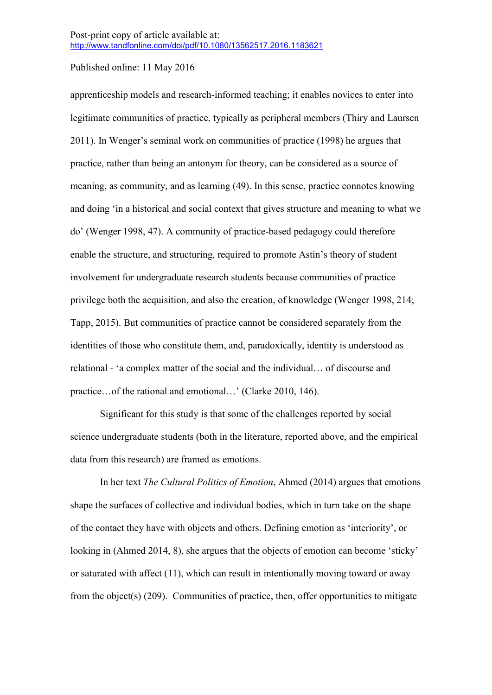apprenticeship models and research-informed teaching; it enables novices to enter into legitimate communities of practice, typically as peripheral members (Thiry and Laursen 2011). In Wenger's seminal work on communities of practice (1998) he argues that practice, rather than being an antonym for theory, can be considered as a source of meaning, as community, and as learning (49). In this sense, practice connotes knowing and doing 'in a historical and social context that gives structure and meaning to what we do' (Wenger 1998, 47). A community of practice-based pedagogy could therefore enable the structure, and structuring, required to promote Astin's theory of student involvement for undergraduate research students because communities of practice privilege both the acquisition, and also the creation, of knowledge (Wenger 1998, 214; Tapp, 2015). But communities of practice cannot be considered separately from the identities of those who constitute them, and, paradoxically, identity is understood as relational - 'a complex matter of the social and the individual… of discourse and practice…of the rational and emotional…' (Clarke 2010, 146).

Significant for this study is that some of the challenges reported by social science undergraduate students (both in the literature, reported above, and the empirical data from this research) are framed as emotions.

In her text *The Cultural Politics of Emotion*, Ahmed (2014) argues that emotions shape the surfaces of collective and individual bodies, which in turn take on the shape of the contact they have with objects and others. Defining emotion as 'interiority', or looking in (Ahmed 2014, 8), she argues that the objects of emotion can become 'sticky' or saturated with affect (11), which can result in intentionally moving toward or away from the object(s) (209). Communities of practice, then, offer opportunities to mitigate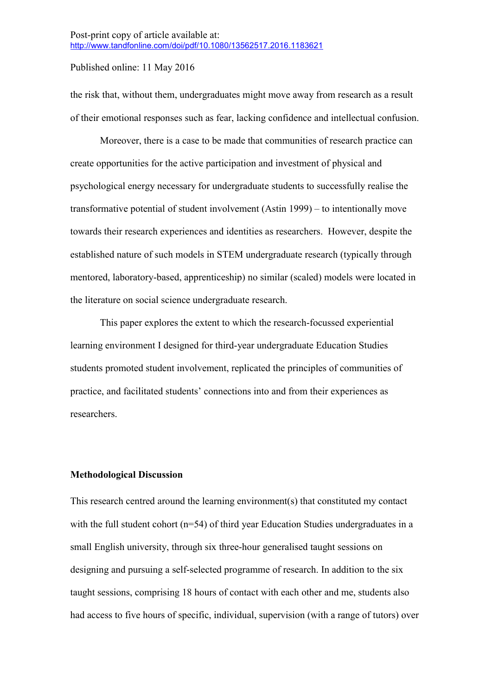the risk that, without them, undergraduates might move away from research as a result of their emotional responses such as fear, lacking confidence and intellectual confusion.

Moreover, there is a case to be made that communities of research practice can create opportunities for the active participation and investment of physical and psychological energy necessary for undergraduate students to successfully realise the transformative potential of student involvement (Astin 1999) – to intentionally move towards their research experiences and identities as researchers. However, despite the established nature of such models in STEM undergraduate research (typically through mentored, laboratory-based, apprenticeship) no similar (scaled) models were located in the literature on social science undergraduate research.

This paper explores the extent to which the research-focussed experiential learning environment I designed for third-year undergraduate Education Studies students promoted student involvement, replicated the principles of communities of practice, and facilitated students' connections into and from their experiences as researchers.

#### **Methodological Discussion**

This research centred around the learning environment(s) that constituted my contact with the full student cohort  $(n=54)$  of third year Education Studies undergraduates in a small English university, through six three-hour generalised taught sessions on designing and pursuing a self-selected programme of research. In addition to the six taught sessions, comprising 18 hours of contact with each other and me, students also had access to five hours of specific, individual, supervision (with a range of tutors) over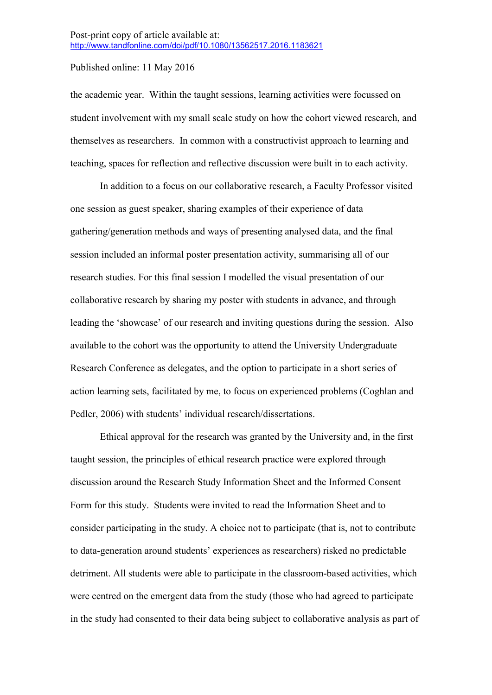the academic year. Within the taught sessions, learning activities were focussed on student involvement with my small scale study on how the cohort viewed research, and themselves as researchers. In common with a constructivist approach to learning and teaching, spaces for reflection and reflective discussion were built in to each activity.

In addition to a focus on our collaborative research, a Faculty Professor visited one session as guest speaker, sharing examples of their experience of data gathering/generation methods and ways of presenting analysed data, and the final session included an informal poster presentation activity, summarising all of our research studies. For this final session I modelled the visual presentation of our collaborative research by sharing my poster with students in advance, and through leading the 'showcase' of our research and inviting questions during the session. Also available to the cohort was the opportunity to attend the University Undergraduate Research Conference as delegates, and the option to participate in a short series of action learning sets, facilitated by me, to focus on experienced problems (Coghlan and Pedler, 2006) with students' individual research/dissertations.

Ethical approval for the research was granted by the University and, in the first taught session, the principles of ethical research practice were explored through discussion around the Research Study Information Sheet and the Informed Consent Form for this study. Students were invited to read the Information Sheet and to consider participating in the study. A choice not to participate (that is, not to contribute to data-generation around students' experiences as researchers) risked no predictable detriment. All students were able to participate in the classroom-based activities, which were centred on the emergent data from the study (those who had agreed to participate in the study had consented to their data being subject to collaborative analysis as part of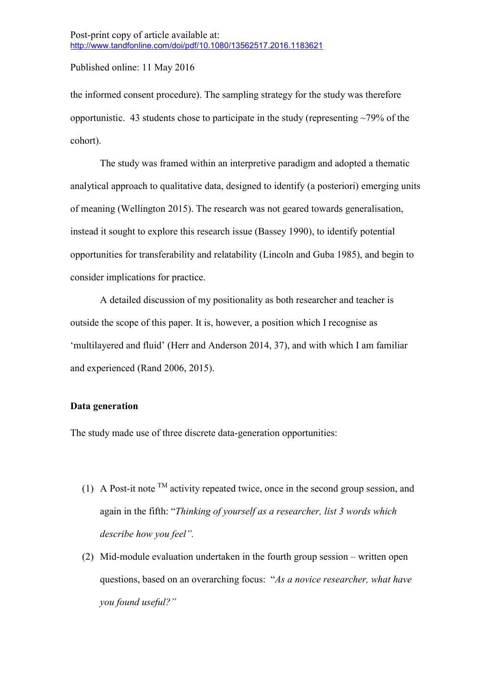the informed consent procedure). The sampling strategy for the study was therefore opportunistic. 43 students chose to participate in the study (representing  $\sim$ 79% of the cohort).

The study was framed within an interpretive paradigm and adopted a thematic analytical approach to qualitative data, designed to identify (a posteriori) emerging units of meaning (Wellington 2015). The research was not geared towards generalisation, instead it sought to explore this research issue (Bassey 1990), to identify potential opportunities for transferability and relatability (Lincoln and Guba 1985), and begin to consider implications for practice.

A detailed discussion of my positionality as both researcher and teacher is outside the scope of this paper. It is, however, a position which I recognise as 'multilayered and fluid' (Herr and Anderson 2014, 37), and with which I am familiar and experienced (Rand 2006, 2015).

#### **Data generation**

The study made use of three discrete data-generation opportunities:

- (1) A Post-it note  $^{TM}$  activity repeated twice, once in the second group session, and again in the fifth: "*Thinking of yourself as a researcher, list 3 words which describe how you feel".*
- (2) Mid-module evaluation undertaken in the fourth group session written open questions, based on an overarching focus: "*As a novice researcher, what have you found useful?"*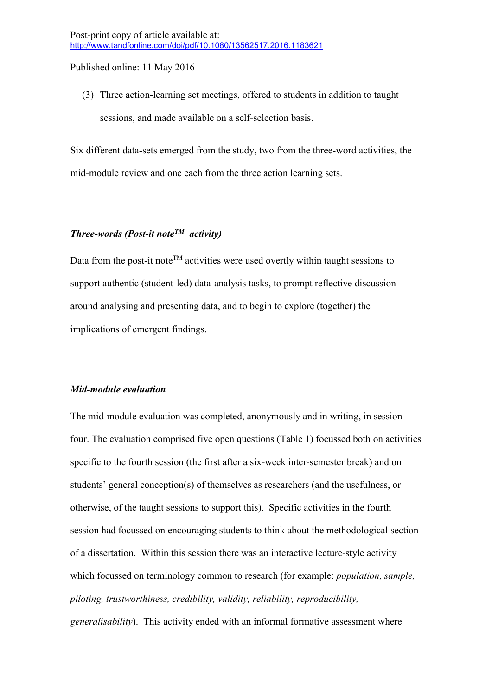(3) Three action-learning set meetings, offered to students in addition to taught sessions, and made available on a self-selection basis.

Six different data-sets emerged from the study, two from the three-word activities, the mid-module review and one each from the three action learning sets.

## *Three-words (Post-it noteTM activity)*

Data from the post-it note<sup>TM</sup> activities were used overtly within taught sessions to support authentic (student-led) data-analysis tasks, to prompt reflective discussion around analysing and presenting data, and to begin to explore (together) the implications of emergent findings.

#### *Mid-module evaluation*

The mid-module evaluation was completed, anonymously and in writing, in session four. The evaluation comprised five open questions (Table 1) focussed both on activities specific to the fourth session (the first after a six-week inter-semester break) and on students' general conception(s) of themselves as researchers (and the usefulness, or otherwise, of the taught sessions to support this). Specific activities in the fourth session had focussed on encouraging students to think about the methodological section of a dissertation. Within this session there was an interactive lecture-style activity which focussed on terminology common to research (for example: *population, sample, piloting, trustworthiness, credibility, validity, reliability, reproducibility, generalisability*). This activity ended with an informal formative assessment where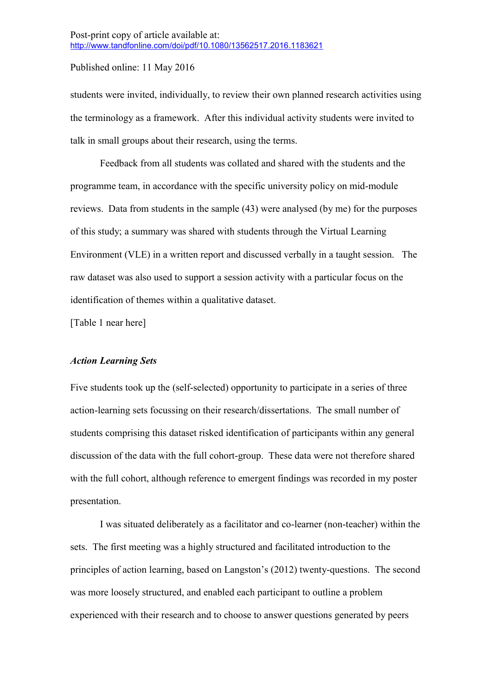students were invited, individually, to review their own planned research activities using the terminology as a framework. After this individual activity students were invited to talk in small groups about their research, using the terms.

Feedback from all students was collated and shared with the students and the programme team, in accordance with the specific university policy on mid-module reviews. Data from students in the sample (43) were analysed (by me) for the purposes of this study; a summary was shared with students through the Virtual Learning Environment (VLE) in a written report and discussed verbally in a taught session. The raw dataset was also used to support a session activity with a particular focus on the identification of themes within a qualitative dataset.

[Table 1 near here]

#### *Action Learning Sets*

Five students took up the (self-selected) opportunity to participate in a series of three action-learning sets focussing on their research/dissertations. The small number of students comprising this dataset risked identification of participants within any general discussion of the data with the full cohort-group. These data were not therefore shared with the full cohort, although reference to emergent findings was recorded in my poster presentation.

I was situated deliberately as a facilitator and co-learner (non-teacher) within the sets. The first meeting was a highly structured and facilitated introduction to the principles of action learning, based on Langston's (2012) twenty-questions. The second was more loosely structured, and enabled each participant to outline a problem experienced with their research and to choose to answer questions generated by peers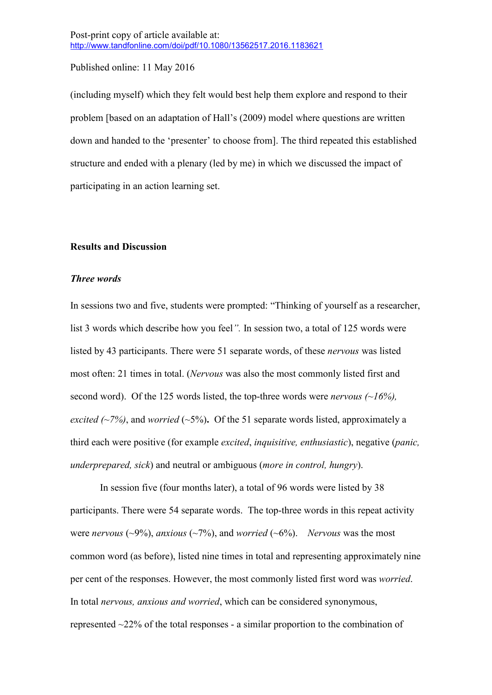(including myself) which they felt would best help them explore and respond to their problem [based on an adaptation of Hall's (2009) model where questions are written down and handed to the 'presenter' to choose from]. The third repeated this established structure and ended with a plenary (led by me) in which we discussed the impact of participating in an action learning set.

#### **Results and Discussion**

#### *Three words*

In sessions two and five, students were prompted: "Thinking of yourself as a researcher, list 3 words which describe how you feel*".* In session two, a total of 125 words were listed by 43 participants. There were 51 separate words, of these *nervous* was listed most often: 21 times in total. (*Nervous* was also the most commonly listed first and second word). Of the 125 words listed, the top-three words were *nervous (~16%), excited*  $\left(\frac{2\%}{2}\right)$ , and *worried* ( $\frac{5\%}{2}$ ). Of the 51 separate words listed, approximately a third each were positive (for example *excited*, *inquisitive, enthusiastic*), negative (*panic, underprepared, sick*) and neutral or ambiguous (*more in control, hungry*).

In session five (four months later), a total of 96 words were listed by 38 participants. There were 54 separate words. The top-three words in this repeat activity were *nervous* ( $\sim$ 9%), *anxious* ( $\sim$ 7%), and *worried* ( $\sim$ 6%). *Nervous* was the most common word (as before), listed nine times in total and representing approximately nine per cent of the responses. However, the most commonly listed first word was *worried*. In total *nervous, anxious and worried*, which can be considered synonymous, represented ~22% of the total responses - a similar proportion to the combination of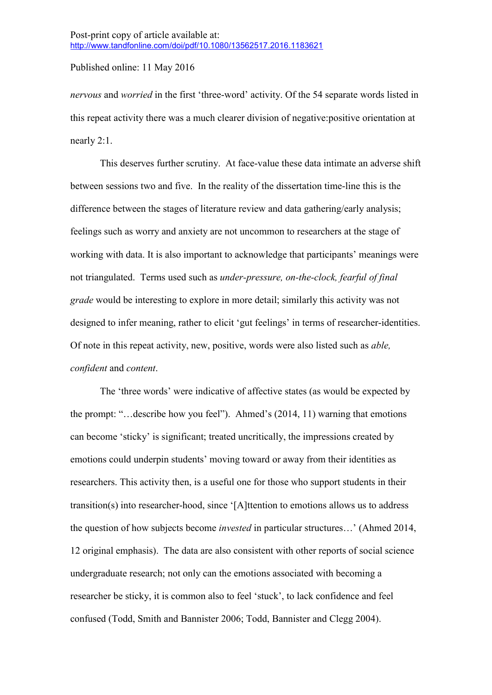*nervous* and *worried* in the first 'three-word' activity. Of the 54 separate words listed in this repeat activity there was a much clearer division of negative:positive orientation at nearly 2:1.

This deserves further scrutiny. At face-value these data intimate an adverse shift between sessions two and five. In the reality of the dissertation time-line this is the difference between the stages of literature review and data gathering/early analysis; feelings such as worry and anxiety are not uncommon to researchers at the stage of working with data. It is also important to acknowledge that participants' meanings were not triangulated. Terms used such as *under-pressure, on-the-clock, fearful of final grade* would be interesting to explore in more detail; similarly this activity was not designed to infer meaning, rather to elicit 'gut feelings' in terms of researcher-identities. Of note in this repeat activity, new, positive, words were also listed such as *able, confident* and *content*.

The 'three words' were indicative of affective states (as would be expected by the prompt: "…describe how you feel"). Ahmed's (2014, 11) warning that emotions can become 'sticky' is significant; treated uncritically, the impressions created by emotions could underpin students' moving toward or away from their identities as researchers. This activity then, is a useful one for those who support students in their transition(s) into researcher-hood, since '[A]ttention to emotions allows us to address the question of how subjects become *invested* in particular structures…' (Ahmed 2014, 12 original emphasis). The data are also consistent with other reports of social science undergraduate research; not only can the emotions associated with becoming a researcher be sticky, it is common also to feel 'stuck', to lack confidence and feel confused (Todd, Smith and Bannister 2006; Todd, Bannister and Clegg 2004).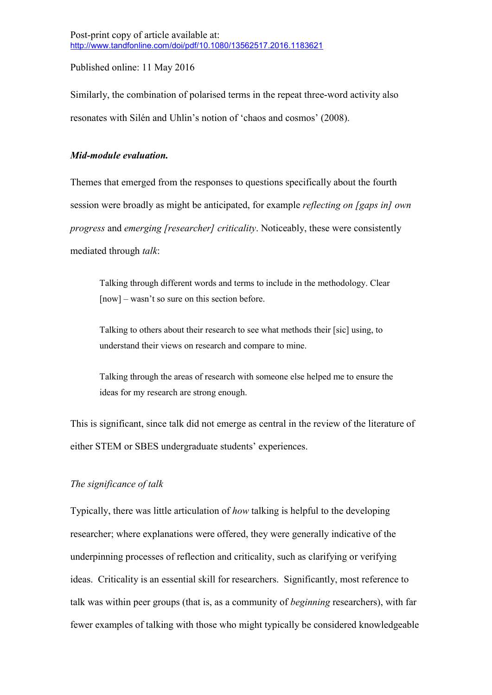Similarly, the combination of polarised terms in the repeat three-word activity also resonates with Silén and Uhlin's notion of 'chaos and cosmos' (2008).

### *Mid-module evaluation.*

Themes that emerged from the responses to questions specifically about the fourth session were broadly as might be anticipated, for example *reflecting on [gaps in] own progress* and *emerging [researcher] criticality*. Noticeably, these were consistently mediated through *talk*:

Talking through different words and terms to include in the methodology. Clear [now] – wasn't so sure on this section before.

Talking to others about their research to see what methods their [sic] using, to understand their views on research and compare to mine.

Talking through the areas of research with someone else helped me to ensure the ideas for my research are strong enough.

This is significant, since talk did not emerge as central in the review of the literature of either STEM or SBES undergraduate students' experiences.

# *The significance of talk*

Typically, there was little articulation of *how* talking is helpful to the developing researcher; where explanations were offered, they were generally indicative of the underpinning processes of reflection and criticality, such as clarifying or verifying ideas. Criticality is an essential skill for researchers. Significantly, most reference to talk was within peer groups (that is, as a community of *beginning* researchers), with far fewer examples of talking with those who might typically be considered knowledgeable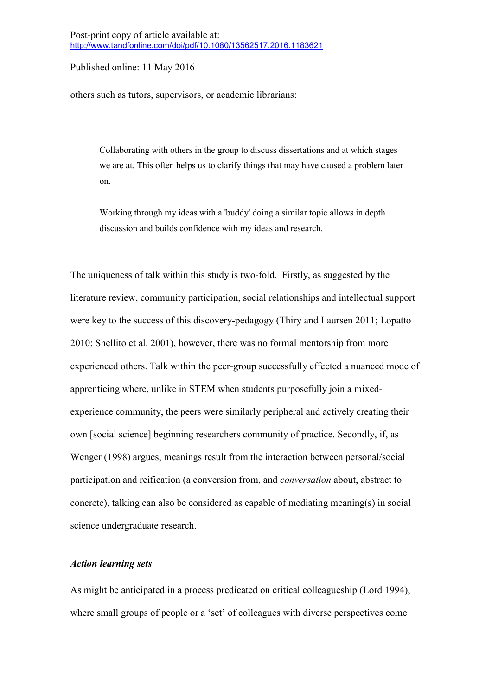others such as tutors, supervisors, or academic librarians:

Collaborating with others in the group to discuss dissertations and at which stages we are at. This often helps us to clarify things that may have caused a problem later on.

Working through my ideas with a 'buddy' doing a similar topic allows in depth discussion and builds confidence with my ideas and research.

The uniqueness of talk within this study is two-fold. Firstly, as suggested by the literature review, community participation, social relationships and intellectual support were key to the success of this discovery-pedagogy (Thiry and Laursen 2011; Lopatto 2010; Shellito et al. 2001), however, there was no formal mentorship from more experienced others. Talk within the peer-group successfully effected a nuanced mode of apprenticing where, unlike in STEM when students purposefully join a mixedexperience community, the peers were similarly peripheral and actively creating their own [social science] beginning researchers community of practice. Secondly, if, as Wenger (1998) argues, meanings result from the interaction between personal/social participation and reification (a conversion from, and *conversation* about, abstract to concrete), talking can also be considered as capable of mediating meaning(s) in social science undergraduate research.

#### *Action learning sets*

As might be anticipated in a process predicated on critical colleagueship (Lord 1994), where small groups of people or a 'set' of colleagues with diverse perspectives come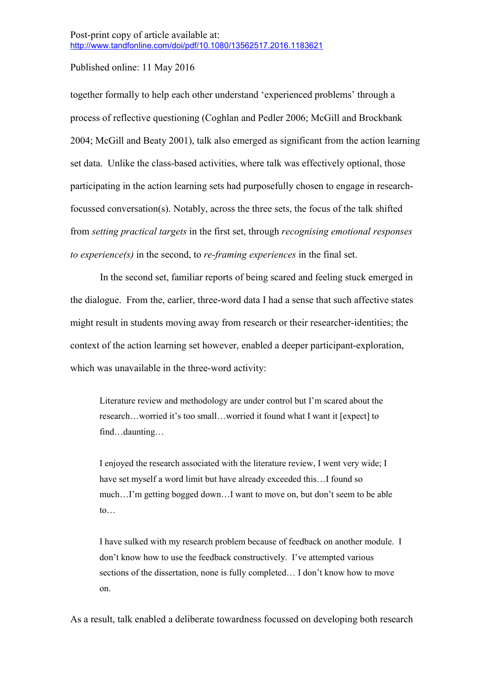together formally to help each other understand 'experienced problems' through a process of reflective questioning (Coghlan and Pedler 2006; McGill and Brockbank 2004; McGill and Beaty 2001), talk also emerged as significant from the action learning set data. Unlike the class-based activities, where talk was effectively optional, those participating in the action learning sets had purposefully chosen to engage in researchfocussed conversation(s). Notably, across the three sets, the focus of the talk shifted from *setting practical targets* in the first set, through *recognising emotional responses to experience(s)* in the second, to *re-framing experiences* in the final set.

In the second set, familiar reports of being scared and feeling stuck emerged in the dialogue. From the, earlier, three-word data I had a sense that such affective states might result in students moving away from research or their researcher-identities; the context of the action learning set however, enabled a deeper participant-exploration, which was unavailable in the three-word activity:

Literature review and methodology are under control but I'm scared about the research…worried it's too small…worried it found what I want it [expect] to find…daunting…

I enjoyed the research associated with the literature review, I went very wide; I have set myself a word limit but have already exceeded this...I found so much…I'm getting bogged down…I want to move on, but don't seem to be able  $\mathsf{to}$ …

I have sulked with my research problem because of feedback on another module. I don't know how to use the feedback constructively. I've attempted various sections of the dissertation, none is fully completed… I don't know how to move on.

As a result, talk enabled a deliberate towardness focussed on developing both research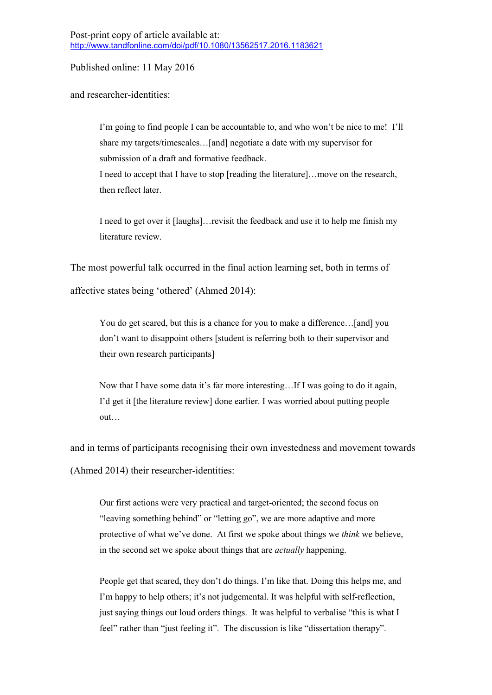then reflect later.

and researcher-identities:

I'm going to find people I can be accountable to, and who won't be nice to me! I'll share my targets/timescales…[and] negotiate a date with my supervisor for submission of a draft and formative feedback. I need to accept that I have to stop [reading the literature]…move on the research,

I need to get over it [laughs]…revisit the feedback and use it to help me finish my literature review.

The most powerful talk occurred in the final action learning set, both in terms of affective states being 'othered' (Ahmed 2014):

You do get scared, but this is a chance for you to make a difference...[and] you don't want to disappoint others [student is referring both to their supervisor and their own research participants]

Now that I have some data it's far more interesting…If I was going to do it again, I'd get it [the literature review] done earlier. I was worried about putting people out…

and in terms of participants recognising their own investedness and movement towards (Ahmed 2014) their researcher-identities:

Our first actions were very practical and target-oriented; the second focus on "leaving something behind" or "letting go", we are more adaptive and more protective of what we've done. At first we spoke about things we *think* we believe, in the second set we spoke about things that are *actually* happening.

People get that scared, they don't do things. I'm like that. Doing this helps me, and I'm happy to help others; it's not judgemental. It was helpful with self-reflection, just saying things out loud orders things. It was helpful to verbalise "this is what I feel" rather than "just feeling it". The discussion is like "dissertation therapy".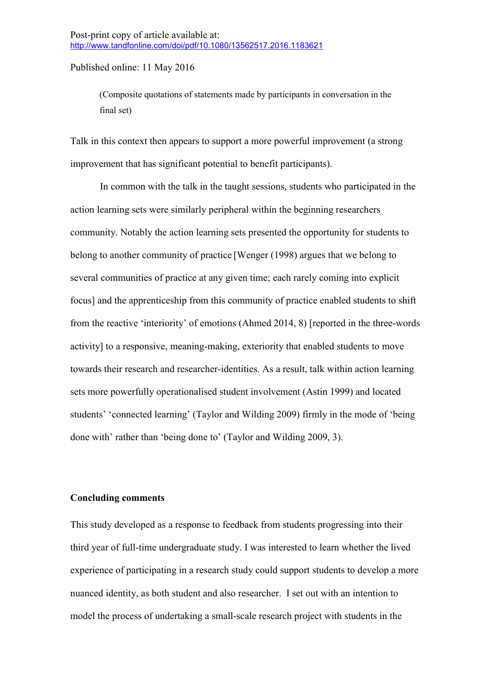(Composite quotations of statements made by participants in conversation in the final set)

Talk in this context then appears to support a more powerful improvement (a strong improvement that has significant potential to benefit participants).

In common with the talk in the taught sessions, students who participated in the action learning sets were similarly peripheral within the beginning researchers community. Notably the action learning sets presented the opportunity for students to belong to another community of practice [Wenger (1998) argues that we belong to several communities of practice at any given time; each rarely coming into explicit focus] and the apprenticeship from this community of practice enabled students to shift from the reactive 'interiority' of emotions (Ahmed 2014, 8) [reported in the three-words activity] to a responsive, meaning-making, exteriority that enabled students to move towards their research and researcher-identities. As a result, talk within action learning sets more powerfully operationalised student involvement (Astin 1999) and located students' 'connected learning' (Taylor and Wilding 2009) firmly in the mode of 'being done with' rather than 'being done to' (Taylor and Wilding 2009, 3).

#### **Concluding comments**

This study developed as a response to feedback from students progressing into their third year of full-time undergraduate study. I was interested to learn whether the lived experience of participating in a research study could support students to develop a more nuanced identity, as both student and also researcher. I set out with an intention to model the process of undertaking a small-scale research project with students in the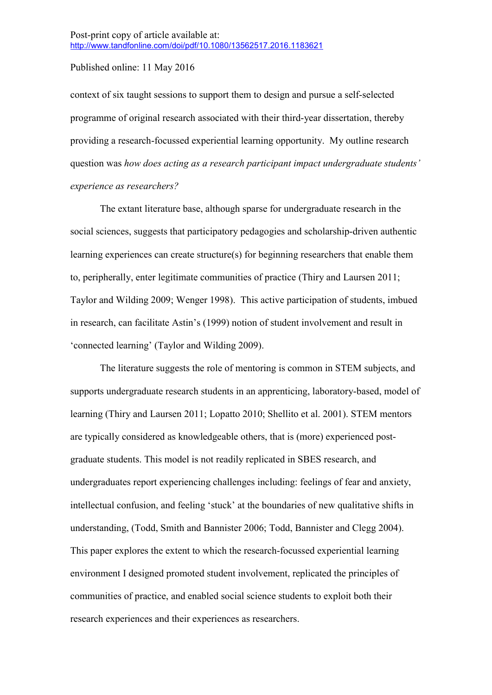context of six taught sessions to support them to design and pursue a self-selected programme of original research associated with their third-year dissertation, thereby providing a research-focussed experiential learning opportunity. My outline research question was *how does acting as a research participant impact undergraduate students' experience as researchers?*

The extant literature base, although sparse for undergraduate research in the social sciences, suggests that participatory pedagogies and scholarship-driven authentic learning experiences can create structure(s) for beginning researchers that enable them to, peripherally, enter legitimate communities of practice (Thiry and Laursen 2011; Taylor and Wilding 2009; Wenger 1998). This active participation of students, imbued in research, can facilitate Astin's (1999) notion of student involvement and result in 'connected learning' (Taylor and Wilding 2009).

The literature suggests the role of mentoring is common in STEM subjects, and supports undergraduate research students in an apprenticing, laboratory-based, model of learning (Thiry and Laursen 2011; Lopatto 2010; Shellito et al. 2001). STEM mentors are typically considered as knowledgeable others, that is (more) experienced postgraduate students. This model is not readily replicated in SBES research, and undergraduates report experiencing challenges including: feelings of fear and anxiety, intellectual confusion, and feeling 'stuck' at the boundaries of new qualitative shifts in understanding, (Todd, Smith and Bannister 2006; Todd, Bannister and Clegg 2004). This paper explores the extent to which the research-focussed experiential learning environment I designed promoted student involvement, replicated the principles of communities of practice, and enabled social science students to exploit both their research experiences and their experiences as researchers.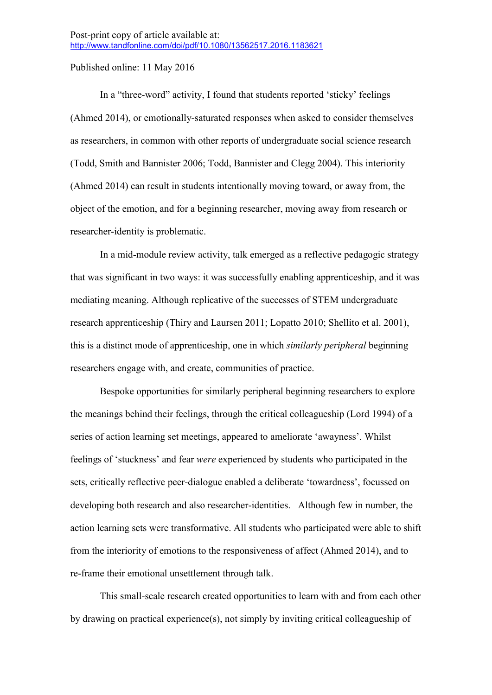In a "three-word" activity, I found that students reported 'sticky' feelings (Ahmed 2014), or emotionally-saturated responses when asked to consider themselves as researchers, in common with other reports of undergraduate social science research (Todd, Smith and Bannister 2006; Todd, Bannister and Clegg 2004). This interiority (Ahmed 2014) can result in students intentionally moving toward, or away from, the object of the emotion, and for a beginning researcher, moving away from research or researcher-identity is problematic.

In a mid-module review activity, talk emerged as a reflective pedagogic strategy that was significant in two ways: it was successfully enabling apprenticeship, and it was mediating meaning. Although replicative of the successes of STEM undergraduate research apprenticeship (Thiry and Laursen 2011; Lopatto 2010; Shellito et al. 2001), this is a distinct mode of apprenticeship, one in which *similarly peripheral* beginning researchers engage with, and create, communities of practice.

Bespoke opportunities for similarly peripheral beginning researchers to explore the meanings behind their feelings, through the critical colleagueship (Lord 1994) of a series of action learning set meetings, appeared to ameliorate 'awayness'. Whilst feelings of 'stuckness' and fear *were* experienced by students who participated in the sets, critically reflective peer-dialogue enabled a deliberate 'towardness', focussed on developing both research and also researcher-identities. Although few in number, the action learning sets were transformative. All students who participated were able to shift from the interiority of emotions to the responsiveness of affect (Ahmed 2014), and to re-frame their emotional unsettlement through talk.

This small-scale research created opportunities to learn with and from each other by drawing on practical experience(s), not simply by inviting critical colleagueship of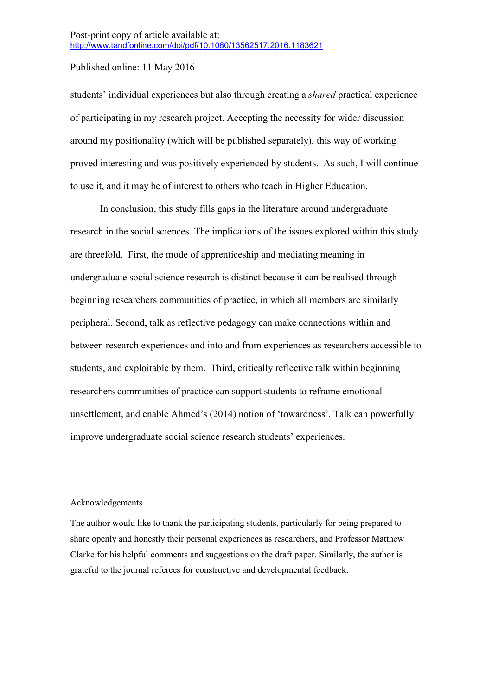students' individual experiences but also through creating a *shared* practical experience of participating in my research project. Accepting the necessity for wider discussion around my positionality (which will be published separately), this way of working proved interesting and was positively experienced by students. As such, I will continue to use it, and it may be of interest to others who teach in Higher Education.

In conclusion, this study fills gaps in the literature around undergraduate research in the social sciences. The implications of the issues explored within this study are threefold. First, the mode of apprenticeship and mediating meaning in undergraduate social science research is distinct because it can be realised through beginning researchers communities of practice, in which all members are similarly peripheral. Second, talk as reflective pedagogy can make connections within and between research experiences and into and from experiences as researchers accessible to students, and exploitable by them. Third, critically reflective talk within beginning researchers communities of practice can support students to reframe emotional unsettlement, and enable Ahmed's (2014) notion of 'towardness'. Talk can powerfully improve undergraduate social science research students' experiences.

#### Acknowledgements

The author would like to thank the participating students, particularly for being prepared to share openly and honestly their personal experiences as researchers, and Professor Matthew Clarke for his helpful comments and suggestions on the draft paper. Similarly, the author is grateful to the journal referees for constructive and developmental feedback.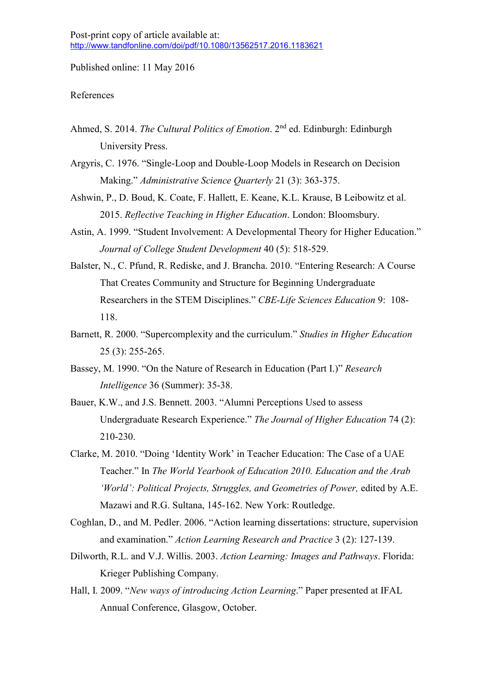#### References

- Ahmed, S. 2014. *The Cultural Politics of Emotion*. 2nd ed. Edinburgh: Edinburgh University Press.
- Argyris, C. 1976. "Single-Loop and Double-Loop Models in Research on Decision Making." *Administrative Science Quarterly* 21 (3): 363-375.
- Ashwin, P., D. Boud, K. Coate, F. Hallett, E. Keane, K.L. Krause, B Leibowitz et al. 2015. *Reflective Teaching in Higher Education*. London: Bloomsbury.
- Astin, A. 1999. "Student Involvement: A Developmental Theory for Higher Education." *Journal of College Student Development* 40 (5): 518-529.
- Balster, N., C. Pfund, R. Rediske, and J. Brancha. 2010. "Entering Research: A Course That Creates Community and Structure for Beginning Undergraduate Researchers in the STEM Disciplines." *CBE-Life Sciences Education* 9: 108- 118.
- Barnett, R. 2000. "Supercomplexity and the curriculum." *Studies in Higher Education* 25 (3): 255-265.
- Bassey, M. 1990. "On the Nature of Research in Education (Part I.)" *Research Intelligence* 36 (Summer): 35-38.
- Bauer, K.W., and J.S. Bennett. 2003. "Alumni Perceptions Used to assess Undergraduate Research Experience." *The Journal of Higher Education* 74 (2): 210-230.
- Clarke, M. 2010. "Doing 'Identity Work' in Teacher Education: The Case of a UAE Teacher." In *The World Yearbook of Education 2010. Education and the Arab 'World': Political Projects, Struggles, and Geometries of Power,* edited by A.E. Mazawi and R.G. Sultana, 145-162. New York: Routledge.
- Coghlan, D., and M. Pedler. 2006. "Action learning dissertations: structure, supervision and examination." *Action Learning Research and Practice* 3 (2): 127-139.
- Dilworth, R.L. and V.J. Willis. 2003. *Action Learning: Images and Pathways*. Florida: Krieger Publishing Company.
- Hall, I. 2009. "*New ways of introducing Action Learning*." Paper presented at IFAL Annual Conference, Glasgow, October.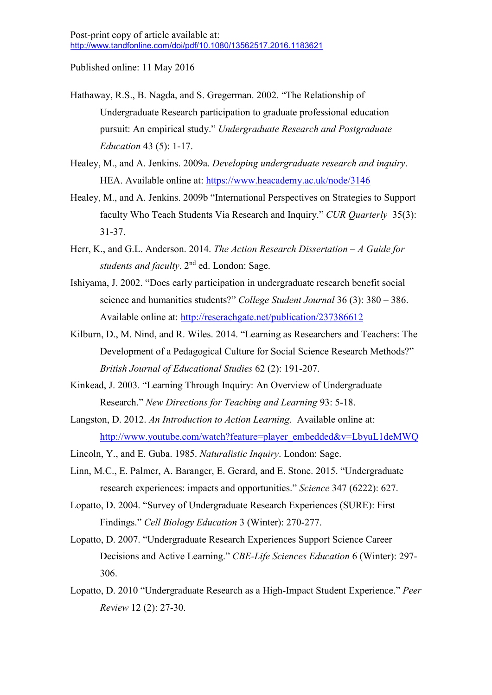Hathaway, R.S., B. Nagda, and S. Gregerman. 2002. "The Relationship of Undergraduate Research participation to graduate professional education pursuit: An empirical study." *Undergraduate Research and Postgraduate Education* 43 (5): 1-17.

Healey, M., and A. Jenkins. 2009a. *Developing undergraduate research and inquiry*. HEA. Available online at: https://www.heacademy.ac.uk/node/3146

- Healey, M., and A. Jenkins. 2009b "International Perspectives on Strategies to Support faculty Who Teach Students Via Research and Inquiry." *CUR Quarterly* 35(3): 31-37.
- Herr, K., and G.L. Anderson. 2014. *The Action Research Dissertation – A Guide for students and faculty*. 2nd ed. London: Sage.
- Ishiyama, J. 2002. "Does early participation in undergraduate research benefit social science and humanities students?" *College Student Journal* 36 (3): 380 – 386. Available online at: http://reserachgate.net/publication/237386612
- Kilburn, D., M. Nind, and R. Wiles. 2014. "Learning as Researchers and Teachers: The Development of a Pedagogical Culture for Social Science Research Methods?" *British Journal of Educational Studies* 62 (2): 191-207.
- Kinkead, J. 2003. "Learning Through Inquiry: An Overview of Undergraduate Research." *New Directions for Teaching and Learning* 93: 5-18.
- Langston, D. 2012. *An Introduction to Action Learning*. Available online at: http://www.youtube.com/watch?feature=player\_embedded&v=LbyuL1deMWQ
- Lincoln, Y., and E. Guba. 1985. *Naturalistic Inquiry*. London: Sage.
- Linn, M.C., E. Palmer, A. Baranger, E. Gerard, and E. Stone. 2015. "Undergraduate research experiences: impacts and opportunities." *Science* 347 (6222): 627.
- Lopatto, D. 2004. "Survey of Undergraduate Research Experiences (SURE): First Findings." *Cell Biology Education* 3 (Winter): 270-277.
- Lopatto, D. 2007. "Undergraduate Research Experiences Support Science Career Decisions and Active Learning." *CBE-Life Sciences Education* 6 (Winter): 297- 306.
- Lopatto, D. 2010 "Undergraduate Research as a High-Impact Student Experience." *Peer Review* 12 (2): 27-30.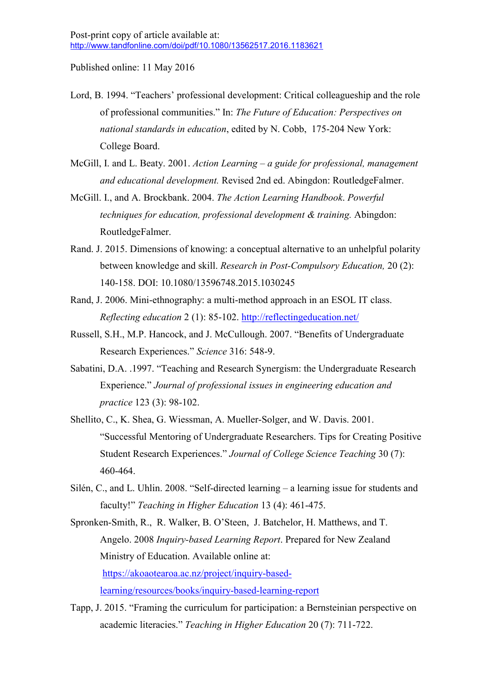- Lord, B. 1994. "Teachers' professional development: Critical colleagueship and the role of professional communities." In: *The Future of Education: Perspectives on national standards in education*, edited by N. Cobb, 175-204 New York: College Board.
- McGill, I. and L. Beaty. 2001. *Action Learning – a guide for professional, management and educational development.* Revised 2nd ed. Abingdon: RoutledgeFalmer.
- McGill. I., and A. Brockbank. 2004. *The Action Learning Handbook*. *Powerful techniques for education, professional development & training.* Abingdon: RoutledgeFalmer.
- Rand. J. 2015. Dimensions of knowing: a conceptual alternative to an unhelpful polarity between knowledge and skill. *Research in Post-Compulsory Education,* 20 (2): 140-158. DOI: 10.1080/13596748.2015.1030245
- Rand, J. 2006. Mini-ethnography: a multi-method approach in an ESOL IT class. *Reflecting education* 2 (1): 85-102. http://reflectingeducation.net/
- Russell, S.H., M.P. Hancock, and J. McCullough. 2007. "Benefits of Undergraduate Research Experiences." *Science* 316: 548-9.
- Sabatini, D.A. .1997. "Teaching and Research Synergism: the Undergraduate Research Experience." *Journal of professional issues in engineering education and practice* 123 (3): 98-102.
- Shellito, C., K. Shea, G. Wiessman, A. Mueller-Solger, and W. Davis. 2001. "Successful Mentoring of Undergraduate Researchers. Tips for Creating Positive Student Research Experiences." *Journal of College Science Teaching* 30 (7): 460-464.
- Silén, C., and L. Uhlin. 2008. "Self-directed learning a learning issue for students and faculty!" *Teaching in Higher Education* 13 (4): 461-475.
- Spronken-Smith, R., R. Walker, B. O'Steen, J. Batchelor, H. Matthews, and T. Angelo. 2008 *Inquiry-based Learning Report*. Prepared for New Zealand Ministry of Education. Available online at: https://akoaotearoa.ac.nz/project/inquiry-basedlearning/resources/books/inquiry-based-learning-report
- Tapp, J. 2015. "Framing the curriculum for participation: a Bernsteinian perspective on academic literacies." *Teaching in Higher Education* 20 (7): 711-722.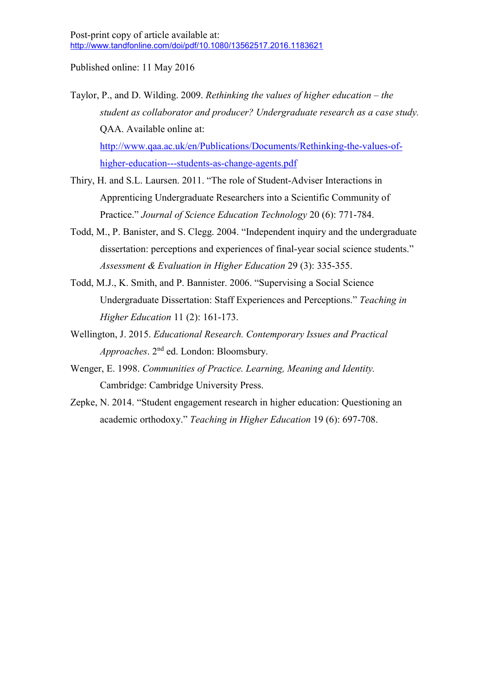Taylor, P., and D. Wilding. 2009. *Rethinking the values of higher education – the student as collaborator and producer? Undergraduate research as a case study.* QAA. Available online at: http://www.qaa.ac.uk/en/Publications/Documents/Rethinking-the-values-ofhigher-education---students-as-change-agents.pdf

- Thiry, H. and S.L. Laursen. 2011. "The role of Student-Adviser Interactions in Apprenticing Undergraduate Researchers into a Scientific Community of Practice." *Journal of Science Education Technology* 20 (6): 771-784.
- Todd, M., P. Banister, and S. Clegg. 2004. "Independent inquiry and the undergraduate dissertation: perceptions and experiences of final-year social science students." *Assessment & Evaluation in Higher Education* 29 (3): 335-355.
- Todd, M.J., K. Smith, and P. Bannister. 2006. "Supervising a Social Science Undergraduate Dissertation: Staff Experiences and Perceptions." *Teaching in Higher Education* 11 (2): 161-173.
- Wellington, J. 2015. *Educational Research. Contemporary Issues and Practical Approaches*. 2nd ed. London: Bloomsbury.
- Wenger, E. 1998. *Communities of Practice. Learning, Meaning and Identity.* Cambridge: Cambridge University Press.
- Zepke, N. 2014. "Student engagement research in higher education: Questioning an academic orthodoxy." *Teaching in Higher Education* 19 (6): 697-708.